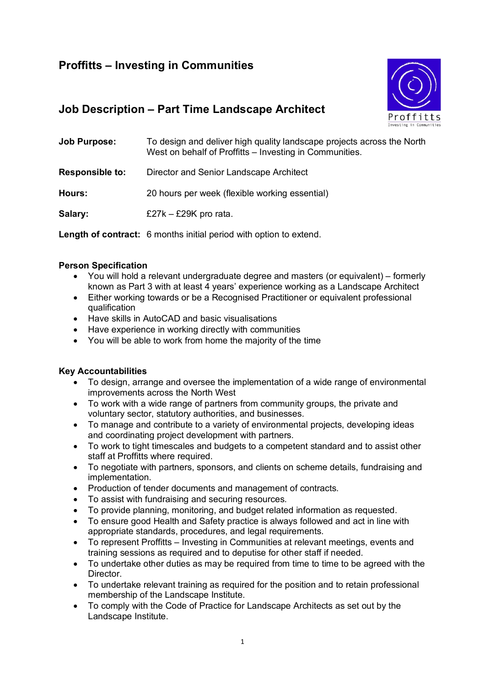# **Proffitts – Investing in Communities**



## **Job Description – Part Time Landscape Architect**

| <b>Job Purpose:</b>    | To design and deliver high quality landscape projects across the North<br>West on behalf of Proffitts - Investing in Communities. |
|------------------------|-----------------------------------------------------------------------------------------------------------------------------------|
| <b>Responsible to:</b> | Director and Senior Landscape Architect                                                                                           |
| Hours:                 | 20 hours per week (flexible working essential)                                                                                    |
| Salary:                | £27k $-$ £29K pro rata.                                                                                                           |

**Length of contract:** 6 months initial period with option to extend.

### **Person Specification**

- You will hold a relevant undergraduate degree and masters (or equivalent) formerly known as Part 3 with at least 4 years' experience working as a Landscape Architect
- Either working towards or be a Recognised Practitioner or equivalent professional qualification
- Have skills in AutoCAD and basic visualisations
- Have experience in working directly with communities
- You will be able to work from home the majority of the time

## **Key Accountabilities**

- To design, arrange and oversee the implementation of a wide range of environmental improvements across the North West
- To work with a wide range of partners from community groups, the private and voluntary sector, statutory authorities, and businesses.
- To manage and contribute to a variety of environmental projects, developing ideas and coordinating project development with partners.
- To work to tight timescales and budgets to a competent standard and to assist other staff at Proffitts where required.
- To negotiate with partners, sponsors, and clients on scheme details, fundraising and implementation.
- Production of tender documents and management of contracts.
- To assist with fundraising and securing resources.
- To provide planning, monitoring, and budget related information as requested.
- To ensure good Health and Safety practice is always followed and act in line with appropriate standards, procedures, and legal requirements.
- To represent Proffitts Investing in Communities at relevant meetings, events and training sessions as required and to deputise for other staff if needed.
- To undertake other duties as may be required from time to time to be agreed with the Director.
- To undertake relevant training as required for the position and to retain professional membership of the Landscape Institute.
- To comply with the Code of Practice for Landscape Architects as set out by the Landscape Institute.